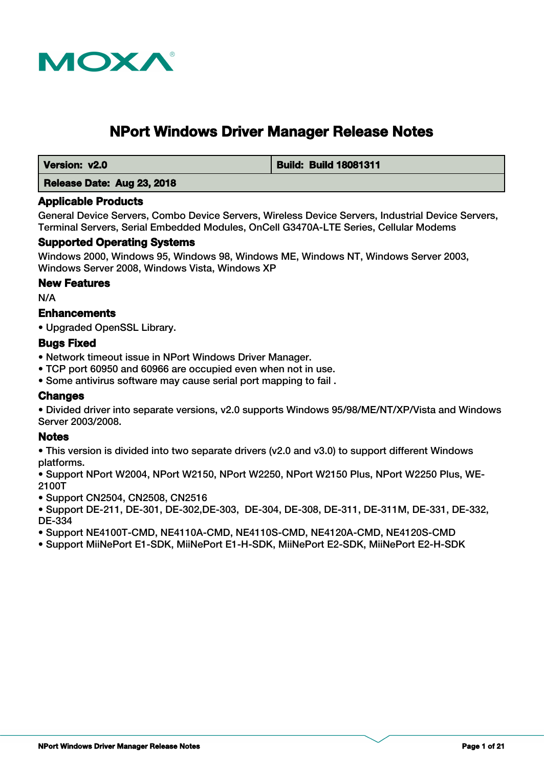

# **NPort Windows Driver Manager Release Notes**

 **Version: v2.0 Build: Build 18081311**

 **Release Date: Aug 23, 2018**

# **Applicable Products**

General Device Servers, Combo Device Servers, Wireless Device Servers, Industrial Device Servers, Terminal Servers, Serial Embedded Modules, OnCell G3470A-LTE Series, Cellular Modems

# **Supported Operating Systems**

Windows 2000, Windows 95, Windows 98, Windows ME, Windows NT, Windows Server 2003, Windows Server 2008, Windows Vista, Windows XP

# **New Features**

N/A

# **Enhancements**

• Upgraded OpenSSL Library.

# **Bugs Fixed**

• Network timeout issue in NPort Windows Driver Manager.

- TCP port 60950 and 60966 are occupied even when not in use.
- Some antivirus software may cause serial port mapping to fail .

# **Changes**

• Divided driver into separate versions, v2.0 supports Windows 95/98/ME/NT/XP/Vista and Windows Server 2003/2008.

# **Notes**

• This version is divided into two separate drivers (v2.0 and v3.0) to support different Windows platforms.

• Support NPort W2004, NPort W2150, NPort W2250, NPort W2150 Plus, NPort W2250 Plus, WE-2100T

• Support CN2504, CN2508, CN2516

• Support DE-211, DE-301, DE-302,DE-303, DE-304, DE-308, DE-311, DE-311M, DE-331, DE-332, DE-334

• Support NE4100T-CMD, NE4110A-CMD, NE4110S-CMD, NE4120A-CMD, NE4120S-CMD

• Support MiiNePort E1-SDK, MiiNePort E1-H-SDK, MiiNePort E2-SDK, MiiNePort E2-H-SDK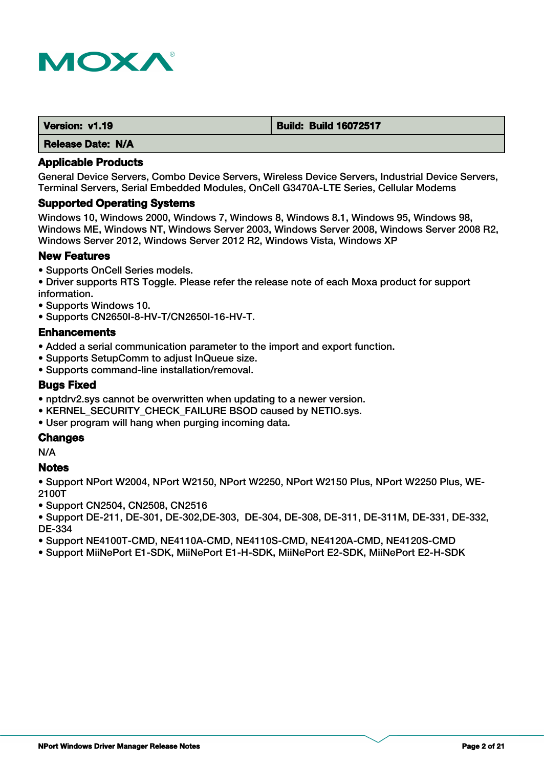

| Version: v1.19           | <b>Build: Build 16072517</b> |
|--------------------------|------------------------------|
| <b>Release Date: N/A</b> |                              |

General Device Servers, Combo Device Servers, Wireless Device Servers, Industrial Device Servers, Terminal Servers, Serial Embedded Modules, OnCell G3470A-LTE Series, Cellular Modems

#### **Supported Operating Systems**

Windows 10, Windows 2000, Windows 7, Windows 8, Windows 8.1, Windows 95, Windows 98, Windows ME, Windows NT, Windows Server 2003, Windows Server 2008, Windows Server 2008 R2, Windows Server 2012, Windows Server 2012 R2, Windows Vista, Windows XP

# **New Features**

- Supports OnCell Series models.
- Driver supports RTS Toggle. Please refer the release note of each Moxa product for support information.
- Supports Windows 10.
- Supports CN2650I-8-HV-T/CN2650I-16-HV-T.

#### **Enhancements**

- Added a serial communication parameter to the import and export function.
- Supports SetupComm to adjust InQueue size.
- Supports command-line installation/removal.

### **Bugs Fixed**

- nptdrv2.sys cannot be overwritten when updating to a newer version.
- KERNEL\_SECURITY\_CHECK\_FAILURE BSOD caused by NETIO.sys.
- User program will hang when purging incoming data.

# **Changes**

N/A

#### **Notes**

• Support NPort W2004, NPort W2150, NPort W2250, NPort W2150 Plus, NPort W2250 Plus, WE-2100T

- Support CN2504, CN2508, CN2516
- Support DE-211, DE-301, DE-302,DE-303, DE-304, DE-308, DE-311, DE-311M, DE-331, DE-332, DE-334
- Support NE4100T-CMD, NE4110A-CMD, NE4110S-CMD, NE4120A-CMD, NE4120S-CMD
- Support MiiNePort E1-SDK, MiiNePort E1-H-SDK, MiiNePort E2-SDK, MiiNePort E2-H-SDK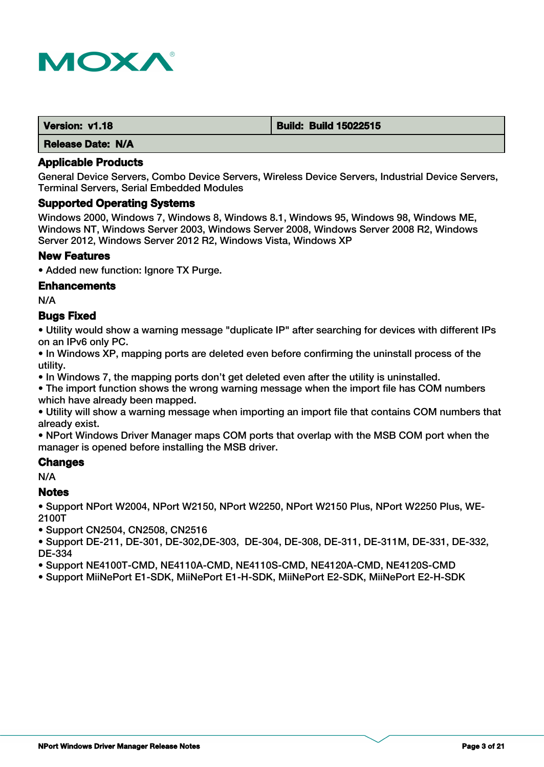

| Version: v1.18           | <b>Build: Build 15022515</b> |
|--------------------------|------------------------------|
| <b>Release Date: N/A</b> |                              |

General Device Servers, Combo Device Servers, Wireless Device Servers, Industrial Device Servers, Terminal Servers, Serial Embedded Modules

#### **Supported Operating Systems**

Windows 2000, Windows 7, Windows 8, Windows 8.1, Windows 95, Windows 98, Windows ME, Windows NT, Windows Server 2003, Windows Server 2008, Windows Server 2008 R2, Windows Server 2012, Windows Server 2012 R2, Windows Vista, Windows XP

#### **New Features**

• Added new function: Ignore TX Purge.

#### **Enhancements**

N/A

### **Bugs Fixed**

• Utility would show a warning message "duplicate IP" after searching for devices with different IPs on an IPv6 only PC.

• In Windows XP, mapping ports are deleted even before confirming the uninstall process of the utility.

• In Windows 7, the mapping ports don't get deleted even after the utility is uninstalled.

• The import function shows the wrong warning message when the import file has COM numbers which have already been mapped.

• Utility will show a warning message when importing an import file that contains COM numbers that already exist.

• NPort Windows Driver Manager maps COM ports that overlap with the MSB COM port when the manager is opened before installing the MSB driver.

#### **Changes**

N/A

#### **Notes**

• Support NPort W2004, NPort W2150, NPort W2250, NPort W2150 Plus, NPort W2250 Plus, WE-2100T

• Support CN2504, CN2508, CN2516

• Support DE-211, DE-301, DE-302,DE-303, DE-304, DE-308, DE-311, DE-311M, DE-331, DE-332, DE-334

• Support NE4100T-CMD, NE4110A-CMD, NE4110S-CMD, NE4120A-CMD, NE4120S-CMD

• Support MiiNePort E1-SDK, MiiNePort E1-H-SDK, MiiNePort E2-SDK, MiiNePort E2-H-SDK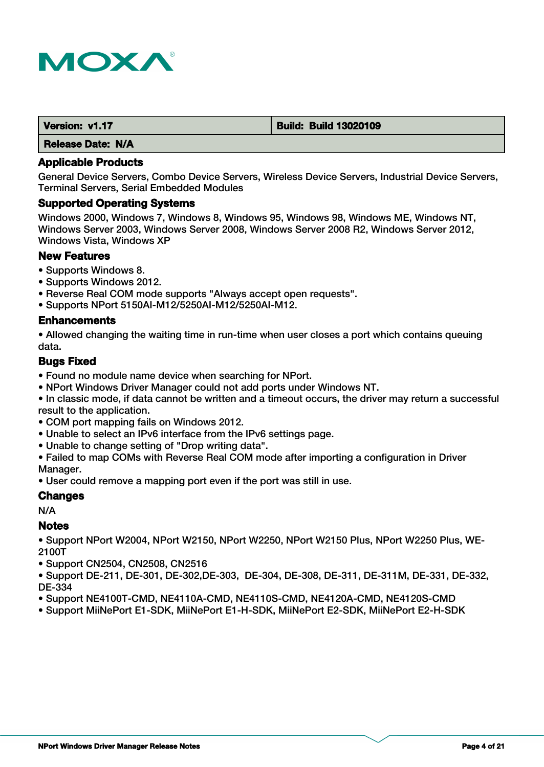

| Version: v1.17           | <b>Build: Build 13020109</b> |
|--------------------------|------------------------------|
| <b>Release Date: N/A</b> |                              |

General Device Servers, Combo Device Servers, Wireless Device Servers, Industrial Device Servers, Terminal Servers, Serial Embedded Modules

#### **Supported Operating Systems**

Windows 2000, Windows 7, Windows 8, Windows 95, Windows 98, Windows ME, Windows NT, Windows Server 2003, Windows Server 2008, Windows Server 2008 R2, Windows Server 2012, Windows Vista, Windows XP

# **New Features**

- Supports Windows 8.
- Supports Windows 2012.
- Reverse Real COM mode supports "Always accept open requests".
- Supports NPort 5150AI-M12/5250AI-M12/5250AI-M12.

#### **Enhancements**

• Allowed changing the waiting time in run-time when user closes a port which contains queuing data.

# **Bugs Fixed**

- Found no module name device when searching for NPort.
- NPort Windows Driver Manager could not add ports under Windows NT.

• In classic mode, if data cannot be written and a timeout occurs, the driver may return a successful result to the application.

- COM port mapping fails on Windows 2012.
- Unable to select an IPv6 interface from the IPv6 settings page.
- Unable to change setting of "Drop writing data".
- Failed to map COMs with Reverse Real COM mode after importing a configuration in Driver Manager.
- User could remove a mapping port even if the port was still in use.

# **Changes**

N/A

# **Notes**

• Support NPort W2004, NPort W2150, NPort W2250, NPort W2150 Plus, NPort W2250 Plus, WE-2100T

• Support CN2504, CN2508, CN2516

• Support DE-211, DE-301, DE-302,DE-303, DE-304, DE-308, DE-311, DE-311M, DE-331, DE-332, DE-334

- Support NE4100T-CMD, NE4110A-CMD, NE4110S-CMD, NE4120A-CMD, NE4120S-CMD
- Support MiiNePort E1-SDK, MiiNePort E1-H-SDK, MiiNePort E2-SDK, MiiNePort E2-H-SDK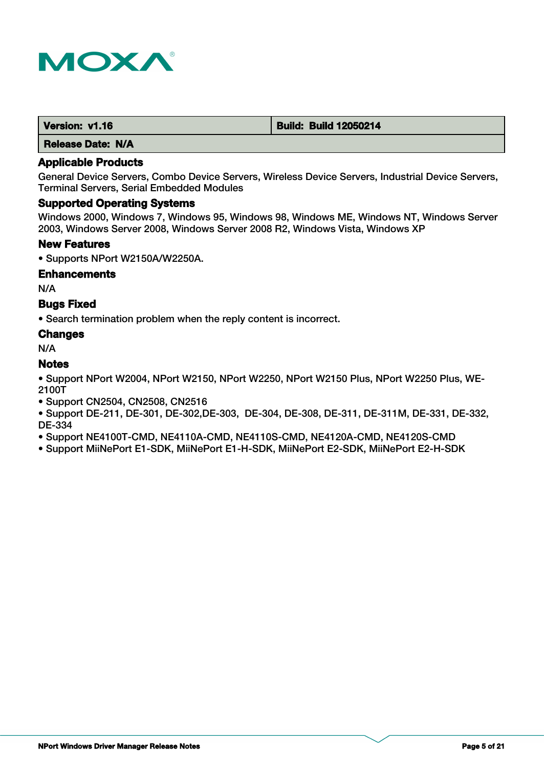

| Version: v1.16 | <b>Build: Build 12050214</b> |
|----------------|------------------------------|
| ____           |                              |

# **Applicable Products**

General Device Servers, Combo Device Servers, Wireless Device Servers, Industrial Device Servers, Terminal Servers, Serial Embedded Modules

# **Supported Operating Systems**

Windows 2000, Windows 7, Windows 95, Windows 98, Windows ME, Windows NT, Windows Server 2003, Windows Server 2008, Windows Server 2008 R2, Windows Vista, Windows XP

#### **New Features**

• Supports NPort W2150A/W2250A.

#### **Enhancements**

N/A

# **Bugs Fixed**

• Search termination problem when the reply content is incorrect.

# **Changes**

N/A

# **Notes**

• Support NPort W2004, NPort W2150, NPort W2250, NPort W2150 Plus, NPort W2250 Plus, WE-2100T

• Support CN2504, CN2508, CN2516

• Support DE-211, DE-301, DE-302,DE-303, DE-304, DE-308, DE-311, DE-311M, DE-331, DE-332, DE-334

• Support NE4100T-CMD, NE4110A-CMD, NE4110S-CMD, NE4120A-CMD, NE4120S-CMD

• Support MiiNePort E1-SDK, MiiNePort E1-H-SDK, MiiNePort E2-SDK, MiiNePort E2-H-SDK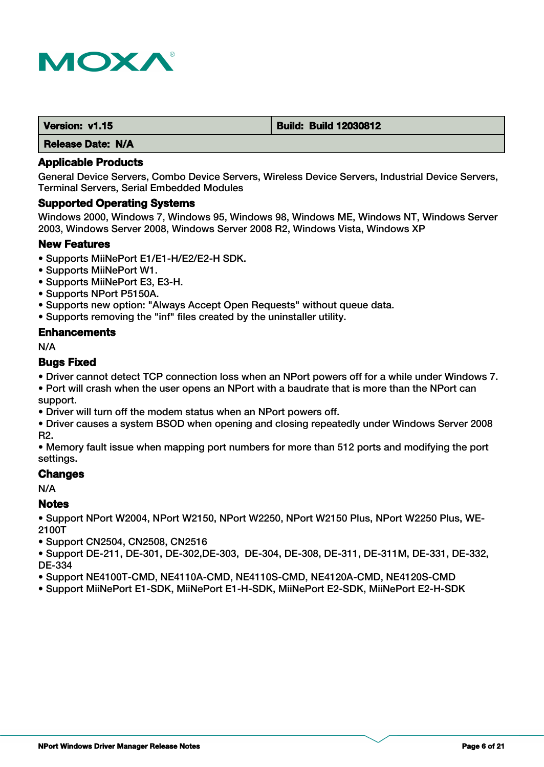

| Version: v1.15 | <b>Build: Build 12030812</b> |
|----------------|------------------------------|
|                |                              |

### **Applicable Products**

General Device Servers, Combo Device Servers, Wireless Device Servers, Industrial Device Servers, Terminal Servers, Serial Embedded Modules

#### **Supported Operating Systems**

Windows 2000, Windows 7, Windows 95, Windows 98, Windows ME, Windows NT, Windows Server 2003, Windows Server 2008, Windows Server 2008 R2, Windows Vista, Windows XP

#### **New Features**

- Supports MiiNePort E1/E1-H/E2/E2-H SDK.
- Supports MiiNePort W1.
- Supports MiiNePort E3, E3-H.
- Supports NPort P5150A.
- Supports new option: "Always Accept Open Requests" without queue data.
- Supports removing the "inf" files created by the uninstaller utility.

#### **Enhancements**

N/A

# **Bugs Fixed**

• Driver cannot detect TCP connection loss when an NPort powers off for a while under Windows 7.

• Port will crash when the user opens an NPort with a baudrate that is more than the NPort can support.

• Driver will turn off the modem status when an NPort powers off.

• Driver causes a system BSOD when opening and closing repeatedly under Windows Server 2008 R2.

• Memory fault issue when mapping port numbers for more than 512 ports and modifying the port settings.

# **Changes**

N/A

# **Notes**

• Support NPort W2004, NPort W2150, NPort W2250, NPort W2150 Plus, NPort W2250 Plus, WE-2100T

• Support CN2504, CN2508, CN2516

• Support DE-211, DE-301, DE-302,DE-303, DE-304, DE-308, DE-311, DE-311M, DE-331, DE-332, DE-334

- Support NE4100T-CMD, NE4110A-CMD, NE4110S-CMD, NE4120A-CMD, NE4120S-CMD
- Support MiiNePort E1-SDK, MiiNePort E1-H-SDK, MiiNePort E2-SDK, MiiNePort E2-H-SDK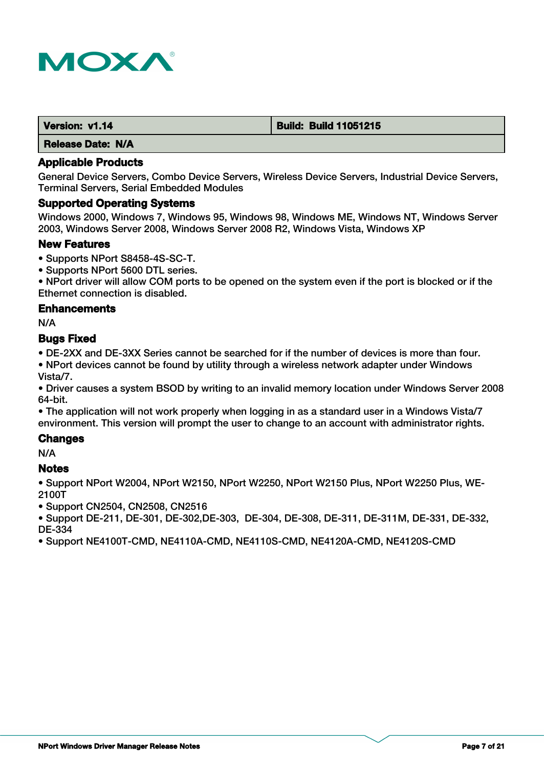

| Version: v1.14           | <b>Build: Build 11051215</b> |
|--------------------------|------------------------------|
| <b>Release Date: N/A</b> |                              |

General Device Servers, Combo Device Servers, Wireless Device Servers, Industrial Device Servers, Terminal Servers, Serial Embedded Modules

#### **Supported Operating Systems**

Windows 2000, Windows 7, Windows 95, Windows 98, Windows ME, Windows NT, Windows Server 2003, Windows Server 2008, Windows Server 2008 R2, Windows Vista, Windows XP

#### **New Features**

- Supports NPort S8458-4S-SC-T.
- Supports NPort 5600 DTL series.

• NPort driver will allow COM ports to be opened on the system even if the port is blocked or if the Ethernet connection is disabled.

#### **Enhancements**

N/A

#### **Bugs Fixed**

• DE-2XX and DE-3XX Series cannot be searched for if the number of devices is more than four.

• NPort devices cannot be found by utility through a wireless network adapter under Windows Vista/7.

• Driver causes a system BSOD by writing to an invalid memory location under Windows Server 2008 64-bit.

• The application will not work properly when logging in as a standard user in a Windows Vista/7 environment. This version will prompt the user to change to an account with administrator rights.

# **Changes**

N/A

#### **Notes**

• Support NPort W2004, NPort W2150, NPort W2250, NPort W2150 Plus, NPort W2250 Plus, WE-2100T

• Support CN2504, CN2508, CN2516

• Support DE-211, DE-301, DE-302,DE-303, DE-304, DE-308, DE-311, DE-311M, DE-331, DE-332, DE-334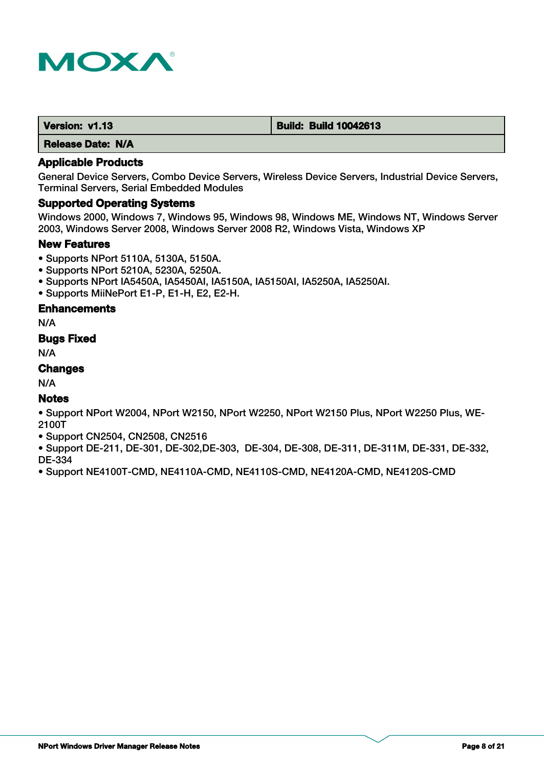

| Version: v1.13 | <b>Build: Build 10042613</b> |
|----------------|------------------------------|
|                |                              |

### **Applicable Products**

General Device Servers, Combo Device Servers, Wireless Device Servers, Industrial Device Servers, Terminal Servers, Serial Embedded Modules

### **Supported Operating Systems**

Windows 2000, Windows 7, Windows 95, Windows 98, Windows ME, Windows NT, Windows Server 2003, Windows Server 2008, Windows Server 2008 R2, Windows Vista, Windows XP

#### **New Features**

- Supports NPort 5110A, 5130A, 5150A.
- Supports NPort 5210A, 5230A, 5250A.
- Supports NPort IA5450A, IA5450AI, IA5150A, IA5150AI, IA5250A, IA5250AI.
- Supports MiiNePort E1-P, E1-H, E2, E2-H.

# **Enhancements**

N/A

# **Bugs Fixed**

N/A

# **Changes**

N/A

# **Notes**

• Support NPort W2004, NPort W2150, NPort W2250, NPort W2150 Plus, NPort W2250 Plus, WE-2100T

• Support CN2504, CN2508, CN2516

• Support DE-211, DE-301, DE-302,DE-303, DE-304, DE-308, DE-311, DE-311M, DE-331, DE-332, DE-334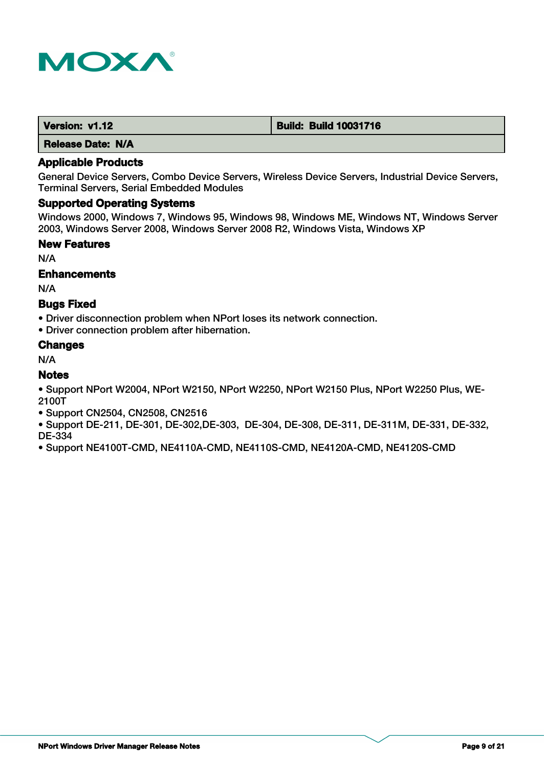

| Version: v1.12           | <b>Build: Build 10031716</b> |
|--------------------------|------------------------------|
| <b>Release Date: N/A</b> |                              |

General Device Servers, Combo Device Servers, Wireless Device Servers, Industrial Device Servers, Terminal Servers, Serial Embedded Modules

### **Supported Operating Systems**

Windows 2000, Windows 7, Windows 95, Windows 98, Windows ME, Windows NT, Windows Server 2003, Windows Server 2008, Windows Server 2008 R2, Windows Vista, Windows XP

#### **New Features**

N/A

#### **Enhancements**

N/A

# **Bugs Fixed**

• Driver disconnection problem when NPort loses its network connection.

• Driver connection problem after hibernation.

#### **Changes**

N/A

# **Notes**

• Support NPort W2004, NPort W2150, NPort W2250, NPort W2150 Plus, NPort W2250 Plus, WE-2100T

- Support CN2504, CN2508, CN2516
- Support DE-211, DE-301, DE-302,DE-303, DE-304, DE-308, DE-311, DE-311M, DE-331, DE-332, DE-334
- Support NE4100T-CMD, NE4110A-CMD, NE4110S-CMD, NE4120A-CMD, NE4120S-CMD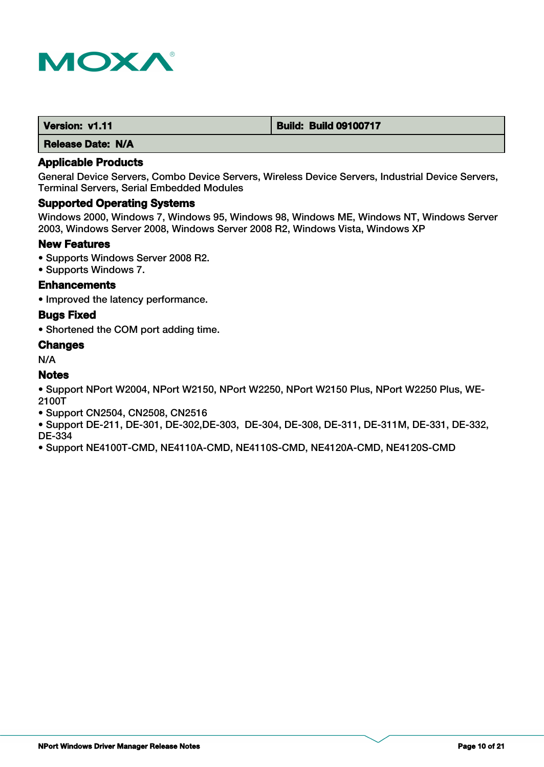

| Version: v1.11 | <b>Build: Build 09100717</b> |
|----------------|------------------------------|
|                |                              |

### **Applicable Products**

General Device Servers, Combo Device Servers, Wireless Device Servers, Industrial Device Servers, Terminal Servers, Serial Embedded Modules

# **Supported Operating Systems**

Windows 2000, Windows 7, Windows 95, Windows 98, Windows ME, Windows NT, Windows Server 2003, Windows Server 2008, Windows Server 2008 R2, Windows Vista, Windows XP

#### **New Features**

- Supports Windows Server 2008 R2.
- Supports Windows 7.

# **Enhancements**

• Improved the latency performance.

#### **Bugs Fixed**

• Shortened the COM port adding time.

# **Changes**

N/A

# **Notes**

• Support NPort W2004, NPort W2150, NPort W2250, NPort W2150 Plus, NPort W2250 Plus, WE-2100T

- Support CN2504, CN2508, CN2516
- Support DE-211, DE-301, DE-302,DE-303, DE-304, DE-308, DE-311, DE-311M, DE-331, DE-332, DE-334
- Support NE4100T-CMD, NE4110A-CMD, NE4110S-CMD, NE4120A-CMD, NE4120S-CMD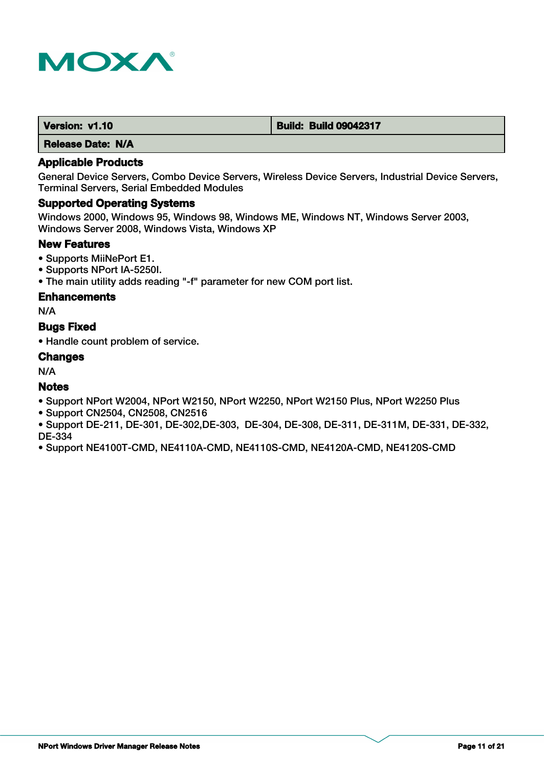

| Version: v1.10 | <b>Build: Build 09042317</b> |
|----------------|------------------------------|
|                |                              |

### **Applicable Products**

General Device Servers, Combo Device Servers, Wireless Device Servers, Industrial Device Servers, Terminal Servers, Serial Embedded Modules

# **Supported Operating Systems**

Windows 2000, Windows 95, Windows 98, Windows ME, Windows NT, Windows Server 2003, Windows Server 2008, Windows Vista, Windows XP

### **New Features**

- Supports MiiNePort E1.
- Supports NPort IA-5250I.
- The main utility adds reading "-f" parameter for new COM port list.

#### **Enhancements**

N/A

# **Bugs Fixed**

• Handle count problem of service.

#### **Changes**

N/A

# **Notes**

- Support NPort W2004, NPort W2150, NPort W2250, NPort W2150 Plus, NPort W2250 Plus
- Support CN2504, CN2508, CN2516
- Support DE-211, DE-301, DE-302,DE-303, DE-304, DE-308, DE-311, DE-311M, DE-331, DE-332, DE-334
- Support NE4100T-CMD, NE4110A-CMD, NE4110S-CMD, NE4120A-CMD, NE4120S-CMD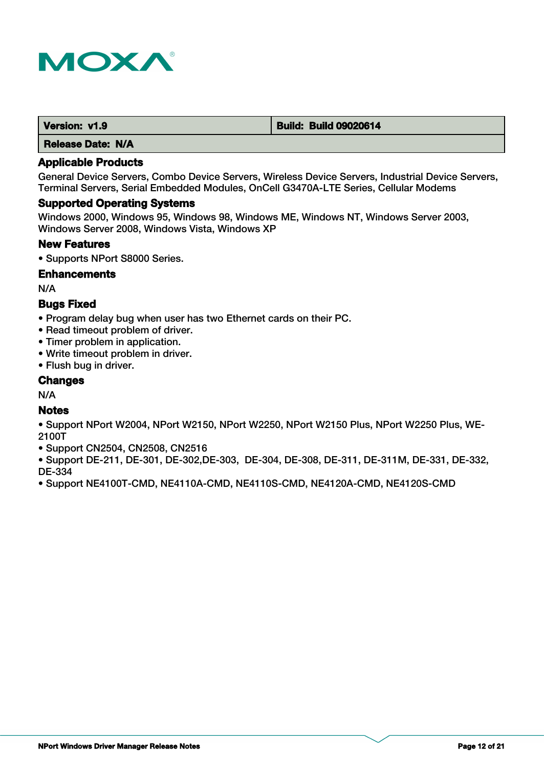

| Version: v1.9 | <b>Build: Build 09020614</b> |
|---------------|------------------------------|
|               |                              |

### **Applicable Products**

General Device Servers, Combo Device Servers, Wireless Device Servers, Industrial Device Servers, Terminal Servers, Serial Embedded Modules, OnCell G3470A-LTE Series, Cellular Modems

#### **Supported Operating Systems**

Windows 2000, Windows 95, Windows 98, Windows ME, Windows NT, Windows Server 2003, Windows Server 2008, Windows Vista, Windows XP

#### **New Features**

• Supports NPort S8000 Series.

#### **Enhancements**

N/A

# **Bugs Fixed**

- Program delay bug when user has two Ethernet cards on their PC.
- Read timeout problem of driver.
- Timer problem in application.
- Write timeout problem in driver.
- Flush bug in driver.

### **Changes**

N/A

# **Notes**

- Support NPort W2004, NPort W2150, NPort W2250, NPort W2150 Plus, NPort W2250 Plus, WE-2100T
- Support CN2504, CN2508, CN2516
- Support DE-211, DE-301, DE-302,DE-303, DE-304, DE-308, DE-311, DE-311M, DE-331, DE-332, DE-334
- Support NE4100T-CMD, NE4110A-CMD, NE4110S-CMD, NE4120A-CMD, NE4120S-CMD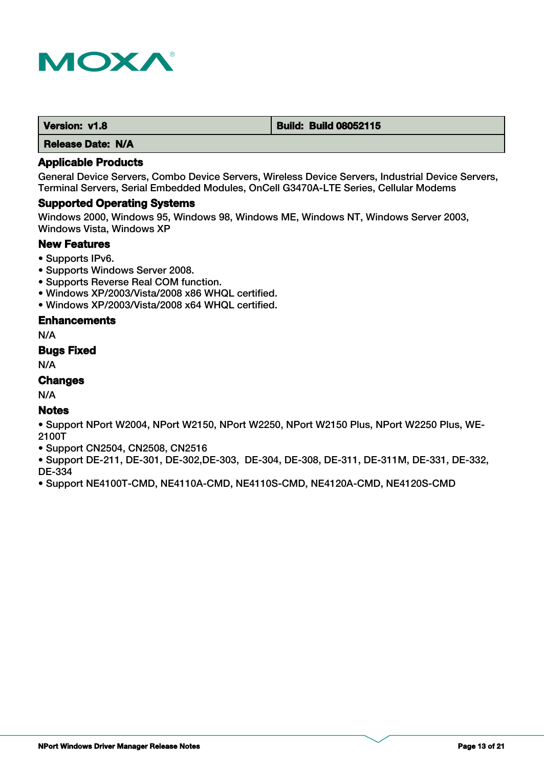

| Version: v1.8 | <b>Build: Build 08052115</b> |
|---------------|------------------------------|
|               |                              |

### **Applicable Products**

General Device Servers, Combo Device Servers, Wireless Device Servers, Industrial Device Servers, Terminal Servers, Serial Embedded Modules, OnCell G3470A-LTE Series, Cellular Modems

#### **Supported Operating Systems**

Windows 2000, Windows 95, Windows 98, Windows ME, Windows NT, Windows Server 2003, Windows Vista, Windows XP

# **New Features**

- Supports IPv6.
- Supports Windows Server 2008.
- Supports Reverse Real COM function.
- Windows XP/2003/Vista/2008 x86 WHQL certified.
- Windows XP/2003/Vista/2008 x64 WHQL certified.

# **Enhancements**

N/A

### **Bugs Fixed**

N/A

# **Changes**

N/A

# **Notes**

• Support NPort W2004, NPort W2150, NPort W2250, NPort W2150 Plus, NPort W2250 Plus, WE-2100T

• Support CN2504, CN2508, CN2516

• Support DE-211, DE-301, DE-302,DE-303, DE-304, DE-308, DE-311, DE-311M, DE-331, DE-332, DE-334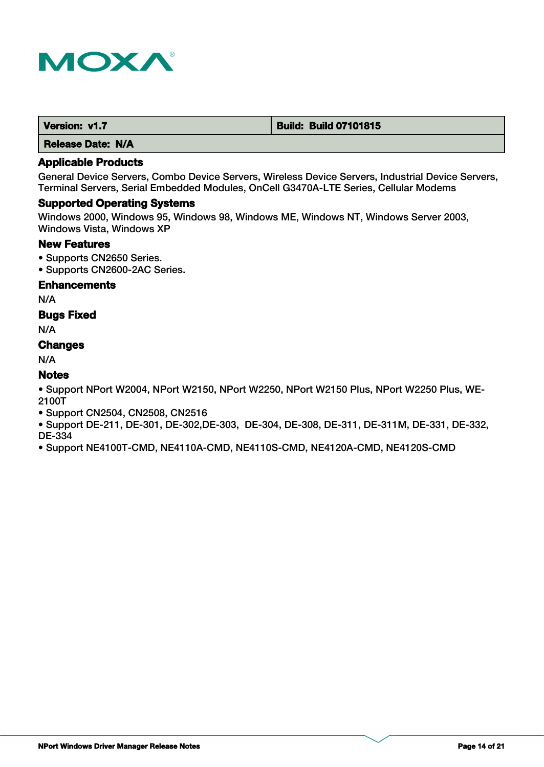

| Version: v1.7 | <b>Build: Build 07101815</b> |
|---------------|------------------------------|
|---------------|------------------------------|

# **Applicable Products**

General Device Servers, Combo Device Servers, Wireless Device Servers, Industrial Device Servers, Terminal Servers, Serial Embedded Modules, OnCell G3470A-LTE Series, Cellular Modems

# **Supported Operating Systems**

Windows 2000, Windows 95, Windows 98, Windows ME, Windows NT, Windows Server 2003, Windows Vista, Windows XP

### **New Features**

- Supports CN2650 Series.
- Supports CN2600-2AC Series.

#### **Enhancements**

N/A

# **Bugs Fixed**

N/A

# **Changes**

N/A

# **Notes**

• Support NPort W2004, NPort W2150, NPort W2250, NPort W2150 Plus, NPort W2250 Plus, WE-2100T

- Support CN2504, CN2508, CN2516
- Support DE-211, DE-301, DE-302,DE-303, DE-304, DE-308, DE-311, DE-311M, DE-331, DE-332, DE-334
- Support NE4100T-CMD, NE4110A-CMD, NE4110S-CMD, NE4120A-CMD, NE4120S-CMD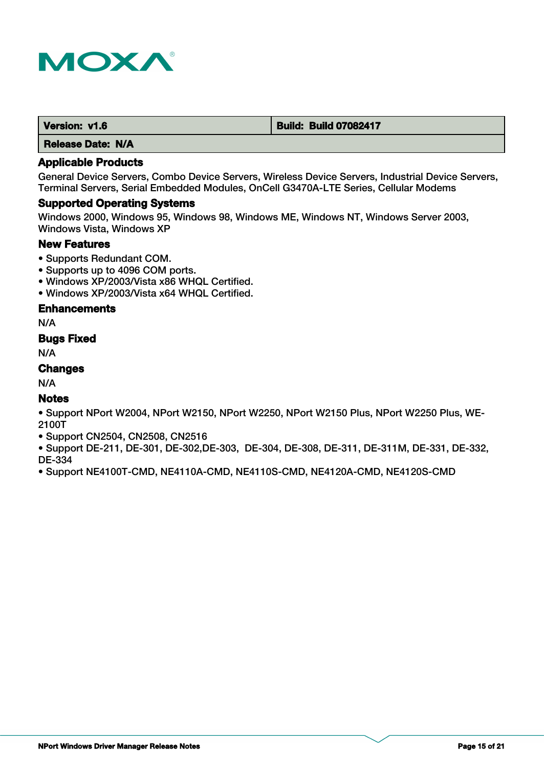

| Version: v1.6 | <b>Build: Build 07082417</b> |
|---------------|------------------------------|
|---------------|------------------------------|

# **Applicable Products**

General Device Servers, Combo Device Servers, Wireless Device Servers, Industrial Device Servers, Terminal Servers, Serial Embedded Modules, OnCell G3470A-LTE Series, Cellular Modems

#### **Supported Operating Systems**

Windows 2000, Windows 95, Windows 98, Windows ME, Windows NT, Windows Server 2003, Windows Vista, Windows XP

#### **New Features**

- Supports Redundant COM.
- Supports up to 4096 COM ports.
- Windows XP/2003/Vista x86 WHQL Certified.
- Windows XP/2003/Vista x64 WHQL Certified.

### **Enhancements**

N/A

# **Bugs Fixed**

N/A

# **Changes**

N/A

# **Notes**

• Support NPort W2004, NPort W2150, NPort W2250, NPort W2150 Plus, NPort W2250 Plus, WE-2100T

• Support CN2504, CN2508, CN2516

• Support DE-211, DE-301, DE-302,DE-303, DE-304, DE-308, DE-311, DE-311M, DE-331, DE-332, DE-334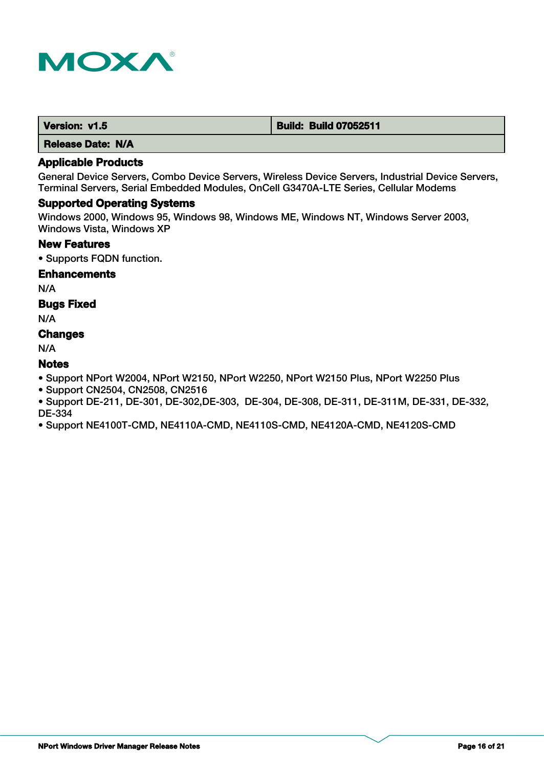

| Version: v1.5 | <b>Build: Build 07052511</b> |
|---------------|------------------------------|
|               |                              |

# **Applicable Products**

General Device Servers, Combo Device Servers, Wireless Device Servers, Industrial Device Servers, Terminal Servers, Serial Embedded Modules, OnCell G3470A-LTE Series, Cellular Modems

# **Supported Operating Systems**

Windows 2000, Windows 95, Windows 98, Windows ME, Windows NT, Windows Server 2003, Windows Vista, Windows XP

### **New Features**

• Supports FQDN function.

#### **Enhancements**

N/A

# **Bugs Fixed**

N/A

# **Changes**

N/A

# **Notes**

• Support NPort W2004, NPort W2150, NPort W2250, NPort W2150 Plus, NPort W2250 Plus

• Support CN2504, CN2508, CN2516

• Support DE-211, DE-301, DE-302,DE-303, DE-304, DE-308, DE-311, DE-311M, DE-331, DE-332, DE-334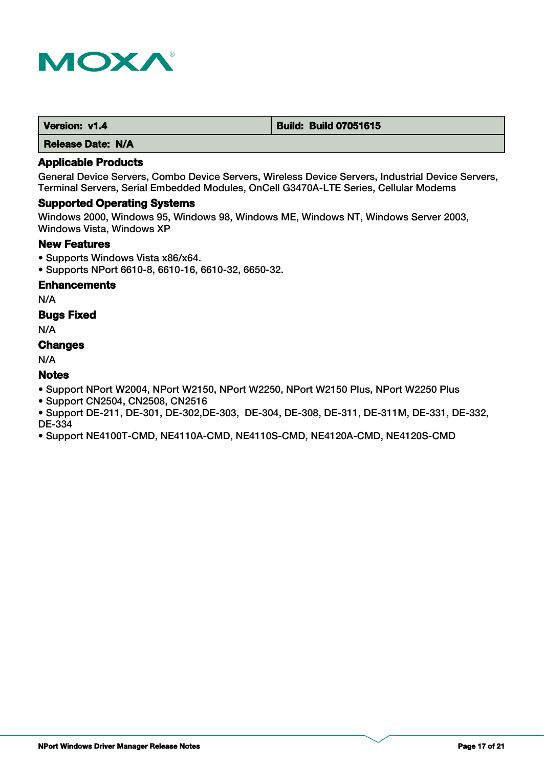

| Version: v1.4 | <b>Build: Build 07051615</b> |
|---------------|------------------------------|
|---------------|------------------------------|

# **Applicable Products**

General Device Servers, Combo Device Servers, Wireless Device Servers, Industrial Device Servers, Terminal Servers, Serial Embedded Modules, OnCell G3470A-LTE Series, Cellular Modems

#### **Supported Operating Systems**

Windows 2000, Windows 95, Windows 98, Windows ME, Windows NT, Windows Server 2003, Windows Vista, Windows XP

# **New Features**

- Supports Windows Vista x86/x64.
- Supports NPort 6610-8, 6610-16, 6610-32, 6650-32.

# **Enhancements**

N/A

# **Bugs Fixed**

N/A

#### **Changes**

N/A

# **Notes**

- Support NPort W2004, NPort W2150, NPort W2250, NPort W2150 Plus, NPort W2250 Plus
- Support CN2504, CN2508, CN2516
- Support DE-211, DE-301, DE-302,DE-303, DE-304, DE-308, DE-311, DE-311M, DE-331, DE-332, DE-334
- Support NE4100T-CMD, NE4110A-CMD, NE4110S-CMD, NE4120A-CMD, NE4120S-CMD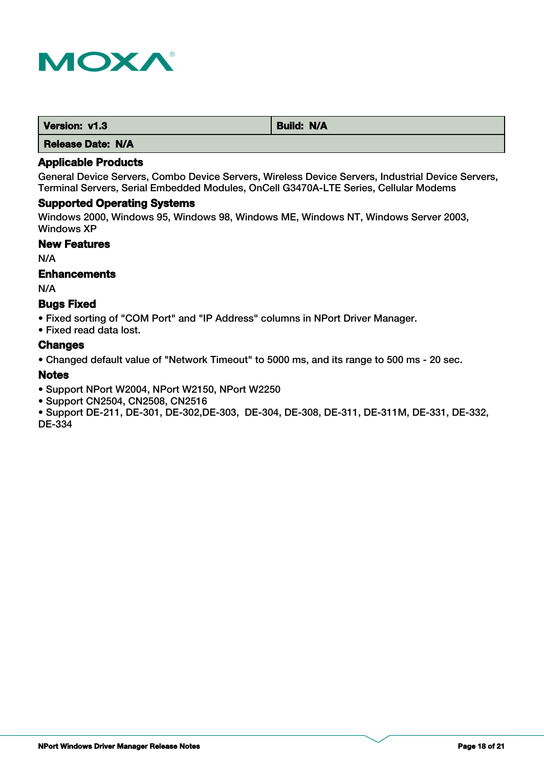

| Version: v1.3     | <b>Build: N/A</b> |
|-------------------|-------------------|
| Release Date: N/A |                   |

General Device Servers, Combo Device Servers, Wireless Device Servers, Industrial Device Servers, Terminal Servers, Serial Embedded Modules, OnCell G3470A-LTE Series, Cellular Modems

# **Supported Operating Systems**

Windows 2000, Windows 95, Windows 98, Windows ME, Windows NT, Windows Server 2003, Windows XP

# **New Features**

N/A

#### **Enhancements**

N/A

#### **Bugs Fixed**

• Fixed sorting of "COM Port" and "IP Address" columns in NPort Driver Manager.

• Fixed read data lost.

#### **Changes**

• Changed default value of "Network Timeout" to 5000 ms, and its range to 500 ms - 20 sec.

#### **Notes**

• Support NPort W2004, NPort W2150, NPort W2250

- Support CN2504, CN2508, CN2516
- Support DE-211, DE-301, DE-302,DE-303, DE-304, DE-308, DE-311, DE-311M, DE-331, DE-332, DE-334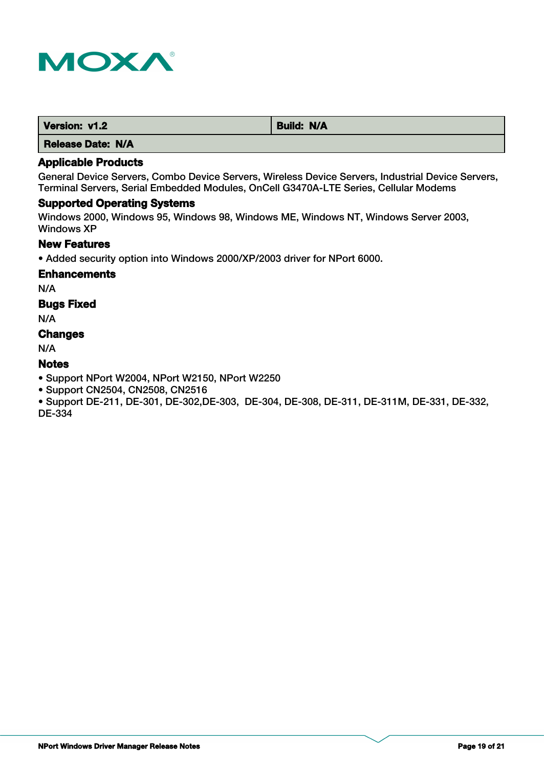

| Version: v1.2 | <b>Build: N/A</b> |
|---------------|-------------------|
| ----          |                   |

# **Applicable Products**

General Device Servers, Combo Device Servers, Wireless Device Servers, Industrial Device Servers, Terminal Servers, Serial Embedded Modules, OnCell G3470A-LTE Series, Cellular Modems

# **Supported Operating Systems**

Windows 2000, Windows 95, Windows 98, Windows ME, Windows NT, Windows Server 2003, Windows XP

### **New Features**

• Added security option into Windows 2000/XP/2003 driver for NPort 6000.

#### **Enhancements**

N/A

# **Bugs Fixed**

N/A

# **Changes**

N/A

# **Notes**

- Support NPort W2004, NPort W2150, NPort W2250
- Support CN2504, CN2508, CN2516

• Support DE-211, DE-301, DE-302,DE-303, DE-304, DE-308, DE-311, DE-311M, DE-331, DE-332, DE-334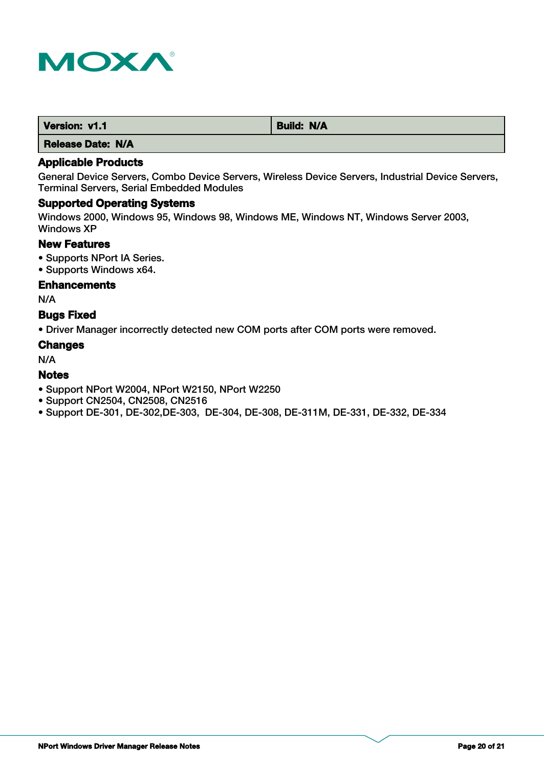

| Version: v1.1 | <b>Build: N/A</b> |
|---------------|-------------------|
|               |                   |

# **Applicable Products**

General Device Servers, Combo Device Servers, Wireless Device Servers, Industrial Device Servers, Terminal Servers, Serial Embedded Modules

# **Supported Operating Systems**

Windows 2000, Windows 95, Windows 98, Windows ME, Windows NT, Windows Server 2003, Windows XP

# **New Features**

- Supports NPort IA Series.
- Supports Windows x64.

### **Enhancements**

N/A

# **Bugs Fixed**

• Driver Manager incorrectly detected new COM ports after COM ports were removed.

#### **Changes**

N/A

### **Notes**

- Support NPort W2004, NPort W2150, NPort W2250
- Support CN2504, CN2508, CN2516
- Support DE-301, DE-302,DE-303, DE-304, DE-308, DE-311M, DE-331, DE-332, DE-334